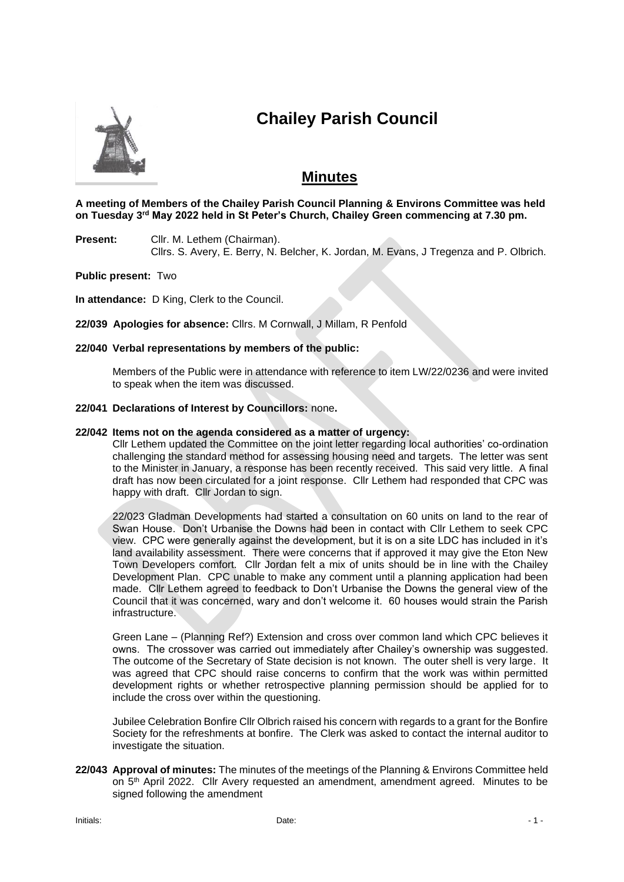# **Chailey Parish Council**



## **Minutes**

#### **A meeting of Members of the Chailey Parish Council Planning & Environs Committee was held on Tuesday 3 rd May 2022 held in St Peter's Church, Chailey Green commencing at 7.30 pm.**

**Present:** Cllr. M. Lethem (Chairman). Cllrs. S. Avery, E. Berry, N. Belcher, K. Jordan, M. Evans, J Tregenza and P. Olbrich.

#### **Public present:** Two

**In attendance:** D King, Clerk to the Council.

**22/039 Apologies for absence:** Cllrs. M Cornwall, J Millam, R Penfold

#### **22/040 Verbal representations by members of the public:**

Members of the Public were in attendance with reference to item LW/22/0236 and were invited to speak when the item was discussed.

#### **22/041 Declarations of Interest by Councillors:** none**.**

#### **22/042 Items not on the agenda considered as a matter of urgency:**

Cllr Lethem updated the Committee on the joint letter regarding local authorities' co-ordination challenging the standard method for assessing housing need and targets. The letter was sent to the Minister in January, a response has been recently received. This said very little. A final draft has now been circulated for a joint response. Cllr Lethem had responded that CPC was happy with draft. Cllr Jordan to sign.

22/023 Gladman Developments had started a consultation on 60 units on land to the rear of Swan House. Don't Urbanise the Downs had been in contact with Cllr Lethem to seek CPC view. CPC were generally against the development, but it is on a site LDC has included in it's land availability assessment. There were concerns that if approved it may give the Eton New Town Developers comfort. Cllr Jordan felt a mix of units should be in line with the Chailey Development Plan. CPC unable to make any comment until a planning application had been made. Cllr Lethem agreed to feedback to Don't Urbanise the Downs the general view of the Council that it was concerned, wary and don't welcome it. 60 houses would strain the Parish infrastructure.

Green Lane – (Planning Ref?) Extension and cross over common land which CPC believes it owns. The crossover was carried out immediately after Chailey's ownership was suggested. The outcome of the Secretary of State decision is not known. The outer shell is very large. It was agreed that CPC should raise concerns to confirm that the work was within permitted development rights or whether retrospective planning permission should be applied for to include the cross over within the questioning.

Jubilee Celebration Bonfire Cllr Olbrich raised his concern with regards to a grant for the Bonfire Society for the refreshments at bonfire. The Clerk was asked to contact the internal auditor to investigate the situation.

**22/043 Approval of minutes:** The minutes of the meetings of the Planning & Environs Committee held on 5 th April 2022. Cllr Avery requested an amendment, amendment agreed. Minutes to be signed following the amendment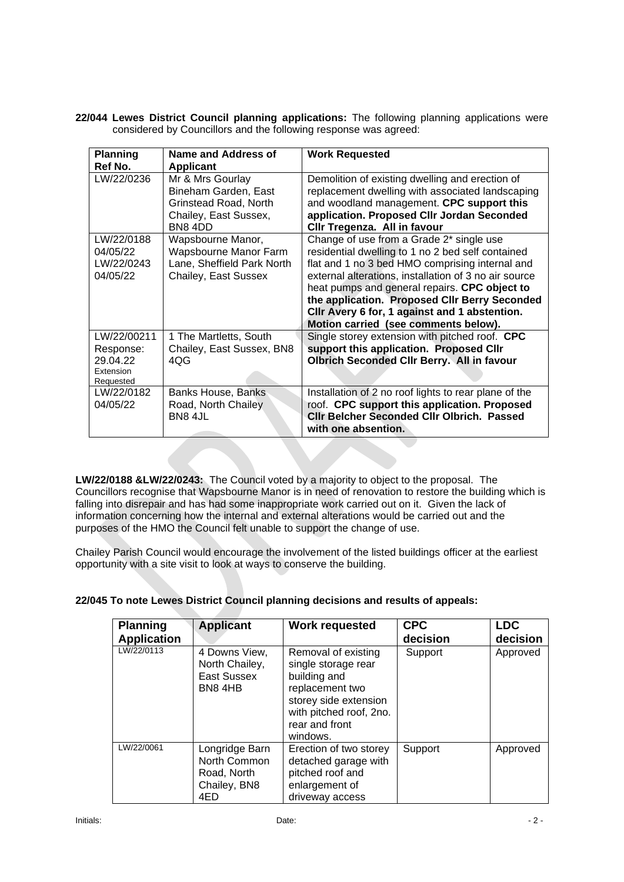**22/044 Lewes District Council planning applications:** The following planning applications were considered by Councillors and the following response was agreed:

| <b>Planning</b>         | Name and Address of        | <b>Work Requested</b>                                 |  |  |  |
|-------------------------|----------------------------|-------------------------------------------------------|--|--|--|
| Ref No.                 | <b>Applicant</b>           |                                                       |  |  |  |
| LW/22/0236              | Mr & Mrs Gourlay           | Demolition of existing dwelling and erection of       |  |  |  |
|                         | Bineham Garden, East       | replacement dwelling with associated landscaping      |  |  |  |
|                         | Grinstead Road, North      | and woodland management. CPC support this             |  |  |  |
|                         | Chailey, East Sussex,      | application. Proposed Cllr Jordan Seconded            |  |  |  |
|                         | BN84DD                     | Cllr Tregenza. All in favour                          |  |  |  |
| LW/22/0188              | Wapsbourne Manor,          | Change of use from a Grade 2* single use              |  |  |  |
| 04/05/22                | Wapsbourne Manor Farm      | residential dwelling to 1 no 2 bed self contained     |  |  |  |
| LW/22/0243              | Lane, Sheffield Park North | flat and 1 no 3 bed HMO comprising internal and       |  |  |  |
| 04/05/22                | Chailey, East Sussex       | external alterations, installation of 3 no air source |  |  |  |
|                         |                            | heat pumps and general repairs. CPC object to         |  |  |  |
|                         |                            | the application. Proposed Cllr Berry Seconded         |  |  |  |
|                         |                            | CIIr Avery 6 for, 1 against and 1 abstention.         |  |  |  |
|                         |                            | Motion carried (see comments below).                  |  |  |  |
| LW/22/00211             | 1 The Martletts, South     | Single storey extension with pitched roof. CPC        |  |  |  |
| Response:               | Chailey, East Sussex, BN8  | support this application. Proposed Cllr               |  |  |  |
| 29.04.22                | 4QG                        | <b>Olbrich Seconded Cllr Berry. All in favour</b>     |  |  |  |
| Extension               |                            |                                                       |  |  |  |
| Requested<br>LW/22/0182 | Banks House, Banks         | Installation of 2 no roof lights to rear plane of the |  |  |  |
| 04/05/22                | Road, North Chailey        | roof. CPC support this application. Proposed          |  |  |  |
|                         | <b>BN8 4JL</b>             | <b>CIIr Belcher Seconded CIIr Olbrich. Passed</b>     |  |  |  |
|                         |                            | with one absention.                                   |  |  |  |
|                         |                            |                                                       |  |  |  |

**LW/22/0188 &LW/22/0243:** The Council voted by a majority to object to the proposal. The Councillors recognise that Wapsbourne Manor is in need of renovation to restore the building which is falling into disrepair and has had some inappropriate work carried out on it. Given the lack of information concerning how the internal and external alterations would be carried out and the purposes of the HMO the Council felt unable to support the change of use.

Chailey Parish Council would encourage the involvement of the listed buildings officer at the earliest opportunity with a site visit to look at ways to conserve the building.

| <b>Planning</b><br><b>Application</b> | <b>Applicant</b>                                                     | <b>Work requested</b>                                                                                                                                           | <b>CPC</b><br>decision | <b>LDC</b><br>decision |
|---------------------------------------|----------------------------------------------------------------------|-----------------------------------------------------------------------------------------------------------------------------------------------------------------|------------------------|------------------------|
| LW/22/0113                            | 4 Downs View,<br>North Chailey,<br>East Sussex<br>BN8 4HB            | Removal of existing<br>single storage rear<br>building and<br>replacement two<br>storey side extension<br>with pitched roof, 2no.<br>rear and front<br>windows. | Support                | Approved               |
| LW/22/0061                            | Longridge Barn<br>North Common<br>Road, North<br>Chailey, BN8<br>4ED | Erection of two storey<br>detached garage with<br>pitched roof and<br>enlargement of<br>driveway access                                                         | Support                | Approved               |

### **22/045 To note Lewes District Council planning decisions and results of appeals:**